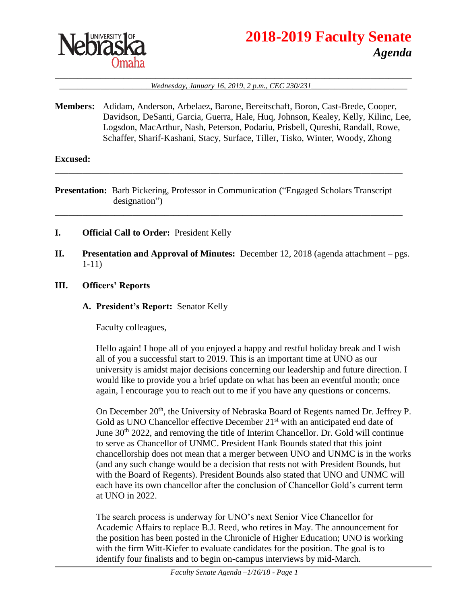

# **2018-2019 Faculty Senate** *Agenda*

#### \_\_\_\_\_\_\_\_\_\_\_\_\_\_\_\_\_\_\_\_\_\_\_\_\_\_\_\_\_\_\_\_\_\_\_\_\_\_\_\_\_\_\_\_\_\_\_\_\_\_\_\_\_\_\_\_\_\_\_\_\_\_\_\_\_\_\_\_\_\_\_\_\_\_\_\_\_\_ \_\_\_\_\_\_\_\_\_\_\_\_\_\_\_\_\_\_\_\_*Wednesday, January 16, 2019, 2 p.m., CEC 230/231*\_\_\_\_\_\_\_\_\_\_\_\_\_\_\_\_\_\_\_\_\_

**Members:** Adidam, Anderson, Arbelaez, Barone, Bereitschaft, Boron, Cast-Brede, Cooper, Davidson, DeSanti, Garcia, Guerra, Hale, Huq, Johnson, Kealey, Kelly, Kilinc, Lee, Logsdon, MacArthur, Nash, Peterson, Podariu, Prisbell, Qureshi, Randall, Rowe, Schaffer, Sharif-Kashani, Stacy, Surface, Tiller, Tisko, Winter, Woody, Zhong

#### **Excused:**

**Presentation:** Barb Pickering, Professor in Communication ("Engaged Scholars Transcript designation")

\_\_\_\_\_\_\_\_\_\_\_\_\_\_\_\_\_\_\_\_\_\_\_\_\_\_\_\_\_\_\_\_\_\_\_\_\_\_\_\_\_\_\_\_\_\_\_\_\_\_\_\_\_\_\_\_\_\_\_\_\_\_\_\_\_\_\_\_\_\_\_\_\_\_\_\_

\_\_\_\_\_\_\_\_\_\_\_\_\_\_\_\_\_\_\_\_\_\_\_\_\_\_\_\_\_\_\_\_\_\_\_\_\_\_\_\_\_\_\_\_\_\_\_\_\_\_\_\_\_\_\_\_\_\_\_\_\_\_\_\_\_\_\_\_\_\_\_\_\_\_\_\_

- **I. Official Call to Order:** President Kelly
- **II. Presentation and Approval of Minutes:** December 12, 2018 (agenda attachment pgs. 1-11)
- **III. Officers' Reports**

#### **A. President's Report:** Senator Kelly

Faculty colleagues,

Hello again! I hope all of you enjoyed a happy and restful holiday break and I wish all of you a successful start to 2019. This is an important time at UNO as our university is amidst major decisions concerning our leadership and future direction. I would like to provide you a brief update on what has been an eventful month; once again, I encourage you to reach out to me if you have any questions or concerns.

On December 20<sup>th</sup>, the University of Nebraska Board of Regents named Dr. Jeffrey P. Gold as UNO Chancellor effective December 21<sup>st</sup> with an anticipated end date of June  $30<sup>th</sup>$  2022, and removing the title of Interim Chancellor. Dr. Gold will continue to serve as Chancellor of UNMC. President Hank Bounds stated that this joint chancellorship does not mean that a merger between UNO and UNMC is in the works (and any such change would be a decision that rests not with President Bounds, but with the Board of Regents). President Bounds also stated that UNO and UNMC will each have its own chancellor after the conclusion of Chancellor Gold's current term at UNO in 2022.

The search process is underway for UNO's next Senior Vice Chancellor for Academic Affairs to replace B.J. Reed, who retires in May. The announcement for the position has been posted in the Chronicle of Higher Education; UNO is working with the firm Witt-Kiefer to evaluate candidates for the position. The goal is to identify four finalists and to begin on-campus interviews by mid-March.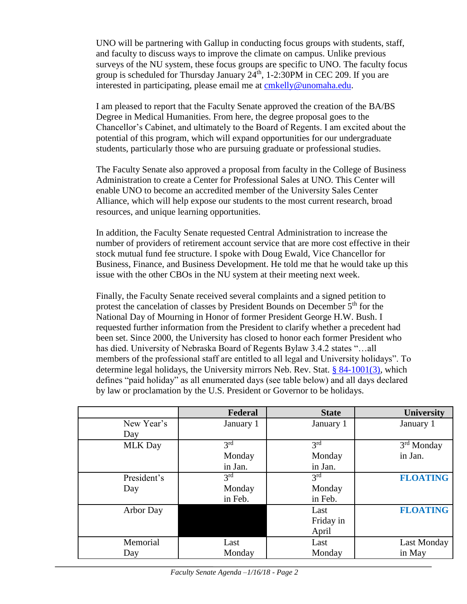UNO will be partnering with Gallup in conducting focus groups with students, staff, and faculty to discuss ways to improve the climate on campus. Unlike previous surveys of the NU system, these focus groups are specific to UNO. The faculty focus group is scheduled for Thursday January  $24<sup>th</sup>$ , 1-2:30PM in CEC 209. If you are interested in participating, please email me at [cmkelly@unomaha.edu.](mailto:cmkelly@unomaha.edu)

I am pleased to report that the Faculty Senate approved the creation of the BA/BS Degree in Medical Humanities. From here, the degree proposal goes to the Chancellor's Cabinet, and ultimately to the Board of Regents. I am excited about the potential of this program, which will expand opportunities for our undergraduate students, particularly those who are pursuing graduate or professional studies.

The Faculty Senate also approved a proposal from faculty in the College of Business Administration to create a Center for Professional Sales at UNO. This Center will enable UNO to become an accredited member of the University Sales Center Alliance, which will help expose our students to the most current research, broad resources, and unique learning opportunities.

In addition, the Faculty Senate requested Central Administration to increase the number of providers of retirement account service that are more cost effective in their stock mutual fund fee structure. I spoke with Doug Ewald, Vice Chancellor for Business, Finance, and Business Development. He told me that he would take up this issue with the other CBOs in the NU system at their meeting next week.

Finally, the Faculty Senate received several complaints and a signed petition to protest the cancelation of classes by President Bounds on December 5<sup>th</sup> for the National Day of Mourning in Honor of former President George H.W. Bush. I requested further information from the President to clarify whether a precedent had been set. Since 2000, the University has closed to honor each former President who has died. University of Nebraska Board of Regents Bylaw 3.4.2 states "…all members of the professional staff are entitled to all legal and University holidays". To determine legal holidays, the University mirrors Neb. Rev. Stat. [§ 84-1001\(3\),](https://urldefense.proofpoint.com/v2/url?u=https-3A__nebraskalegislature.gov_laws_statutes.php-3Fstatute-3D84-2D1001&d=DwMGaQ&c=Cu5g146wZdoqVuKpTNsYHeFX_rg6kWhlkLF8Eft-wwo&r=ky638c7LFL66U2uZvsYq3PIPZ3uKL3T0XrO9KtZPgr4&m=qqgCy9yPjx5Llscn_2G_m1LuJJgmEENGcXSMnzhFPew&s=9PofNF8RQNszW3mXeVM6rRT2gneolKsK6OFFMvN09J8&e=) which defines "paid holiday" as all enumerated days (see table below) and all days declared by law or proclamation by the U.S. President or Governor to be holidays.

|                | Federal         | <b>State</b> | <b>University</b>      |
|----------------|-----------------|--------------|------------------------|
| New Year's     | January 1       | January 1    | January 1              |
| Day            |                 |              |                        |
| <b>MLK Day</b> | 3 <sup>rd</sup> | 2rd          | 3 <sup>rd</sup> Monday |
|                | Monday          | Monday       | in Jan.                |
|                | in Jan.         | in Jan.      |                        |
| President's    | 3 <sup>rd</sup> | 2rd          | <b>FLOATING</b>        |
| Day            | Monday          | Monday       |                        |
|                | in Feb.         | in Feb.      |                        |
| Arbor Day      |                 | Last         | <b>FLOATING</b>        |
|                |                 | Friday in    |                        |
|                |                 | April        |                        |
| Memorial       | Last            | Last         | Last Monday            |
| Day            | Monday          | Monday       | in May                 |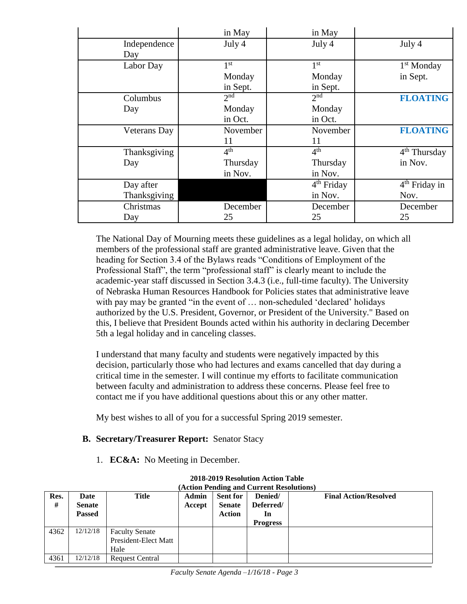|              | in May          | in May          |                          |
|--------------|-----------------|-----------------|--------------------------|
| Independence | July 4          | July 4          | July 4                   |
| Day          |                 |                 |                          |
| Labor Day    | 1 <sup>st</sup> | 1 <sup>st</sup> | 1 <sup>st</sup> Monday   |
|              | Monday          | Monday          | in Sept.                 |
|              | in Sept.        | in Sept.        |                          |
| Columbus     | 2 <sub>nd</sub> | 2 <sub>nd</sub> | <b>FLOATING</b>          |
| Day          | Monday          | Monday          |                          |
|              | in Oct.         | in Oct.         |                          |
| Veterans Day | November        | November        | <b>FLOATING</b>          |
|              | 11              | 11              |                          |
| Thanksgiving | 4 <sup>th</sup> | 4 <sup>th</sup> | 4 <sup>th</sup> Thursday |
| Day          | Thursday        | Thursday        | in Nov.                  |
|              | in Nov.         | in Nov.         |                          |
| Day after    |                 | $4th$ Friday    | $4th$ Friday in          |
| Thanksgiving |                 | in Nov.         | Nov.                     |
| Christmas    | December        | December        | December                 |
| Day          | 25              | 25              | 25                       |

The National Day of Mourning meets these guidelines as a legal holiday, on which all members of the professional staff are granted administrative leave. Given that the heading for Section 3.4 of the Bylaws reads "Conditions of Employment of the Professional Staff", the term "professional staff" is clearly meant to include the academic-year staff discussed in Section 3.4.3 (i.e., full-time faculty). The University of Nebraska Human Resources Handbook for Policies states that administrative leave with pay may be granted "in the event of ... non-scheduled 'declared' holidays authorized by the U.S. President, Governor, or President of the University." Based on this, I believe that President Bounds acted within his authority in declaring December 5th a legal holiday and in canceling classes.

I understand that many faculty and students were negatively impacted by this decision, particularly those who had lectures and exams cancelled that day during a critical time in the semester. I will continue my efforts to facilitate communication between faculty and administration to address these concerns. Please feel free to contact me if you have additional questions about this or any other matter.

My best wishes to all of you for a successful Spring 2019 semester.

# **B. Secretary/Treasurer Report:** Senator Stacy

1. **EC&A:** No Meeting in December.

| Res.<br># | Date<br><b>Senate</b><br><b>Passed</b> | Title                                                 | <b>Admin</b><br>Accept | <b>Sent for</b><br><b>Senate</b><br><b>Action</b> | Denied/<br>Deferred/<br>In<br><b>Progress</b> | <b>Final Action/Resolved</b> |
|-----------|----------------------------------------|-------------------------------------------------------|------------------------|---------------------------------------------------|-----------------------------------------------|------------------------------|
| 4362      | 12/12/18                               | <b>Faculty Senate</b><br>President-Elect Matt<br>Hale |                        |                                                   |                                               |                              |
| 4361      | 12/12/18                               | <b>Request Central</b>                                |                        |                                                   |                                               |                              |

#### **2018-2019 Resolution Action Table (Action Pending and Current Resolutions)**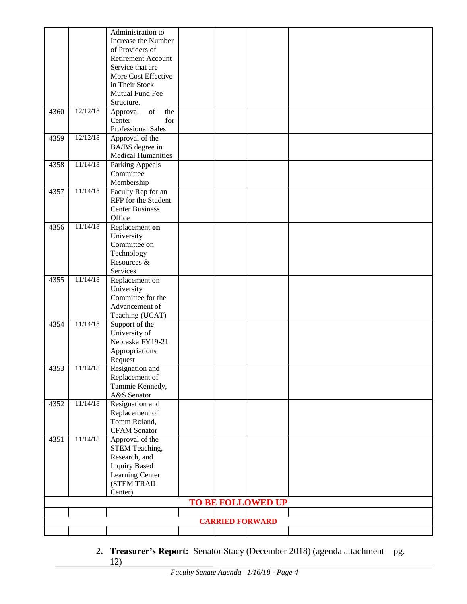|                        |          | Administration to                                                                                                       |  |  |                   |  |
|------------------------|----------|-------------------------------------------------------------------------------------------------------------------------|--|--|-------------------|--|
|                        |          | Increase the Number                                                                                                     |  |  |                   |  |
|                        |          | of Providers of                                                                                                         |  |  |                   |  |
|                        |          | Retirement Account                                                                                                      |  |  |                   |  |
|                        |          | Service that are                                                                                                        |  |  |                   |  |
|                        |          | More Cost Effective                                                                                                     |  |  |                   |  |
|                        |          | in Their Stock                                                                                                          |  |  |                   |  |
|                        |          | Mutual Fund Fee                                                                                                         |  |  |                   |  |
|                        |          |                                                                                                                         |  |  |                   |  |
| 4360                   | 12/12/18 | Structure.<br>$% \left( \left( \mathcal{A},\mathcal{A}\right) \right) =\left( \mathcal{A},\mathcal{A}\right)$ of<br>the |  |  |                   |  |
|                        |          | Approval<br>Center<br>for                                                                                               |  |  |                   |  |
|                        |          | <b>Professional Sales</b>                                                                                               |  |  |                   |  |
|                        | 12/12/18 |                                                                                                                         |  |  |                   |  |
| 4359                   |          | Approval of the                                                                                                         |  |  |                   |  |
|                        |          | BA/BS degree in                                                                                                         |  |  |                   |  |
| 4358                   | 11/14/18 | <b>Medical Humanities</b>                                                                                               |  |  |                   |  |
|                        |          | <b>Parking Appeals</b><br>Committee                                                                                     |  |  |                   |  |
|                        |          |                                                                                                                         |  |  |                   |  |
| 4357                   | 11/14/18 | Membership                                                                                                              |  |  |                   |  |
|                        |          | Faculty Rep for an<br>RFP for the Student                                                                               |  |  |                   |  |
|                        |          | <b>Center Business</b>                                                                                                  |  |  |                   |  |
|                        |          | Office                                                                                                                  |  |  |                   |  |
| 4356                   | 11/14/18 | Replacement on                                                                                                          |  |  |                   |  |
|                        |          | University                                                                                                              |  |  |                   |  |
|                        |          | Committee on                                                                                                            |  |  |                   |  |
|                        |          | Technology                                                                                                              |  |  |                   |  |
|                        |          | Resources &                                                                                                             |  |  |                   |  |
|                        |          | Services                                                                                                                |  |  |                   |  |
| 4355                   | 11/14/18 | Replacement on                                                                                                          |  |  |                   |  |
|                        |          | University                                                                                                              |  |  |                   |  |
|                        |          | Committee for the                                                                                                       |  |  |                   |  |
|                        |          | Advancement of                                                                                                          |  |  |                   |  |
|                        |          | Teaching (UCAT)                                                                                                         |  |  |                   |  |
| 4354                   | 11/14/18 | Support of the                                                                                                          |  |  |                   |  |
|                        |          | University of                                                                                                           |  |  |                   |  |
|                        |          | Nebraska FY19-21                                                                                                        |  |  |                   |  |
|                        |          | Appropriations                                                                                                          |  |  |                   |  |
|                        |          | Request                                                                                                                 |  |  |                   |  |
| 4353                   | 11/14/18 | Resignation and                                                                                                         |  |  |                   |  |
|                        |          | Replacement of                                                                                                          |  |  |                   |  |
|                        |          | Tammie Kennedy,                                                                                                         |  |  |                   |  |
|                        |          | A&S Senator                                                                                                             |  |  |                   |  |
| 4352                   | 11/14/18 | Resignation and                                                                                                         |  |  |                   |  |
|                        |          | Replacement of                                                                                                          |  |  |                   |  |
|                        |          | Tomm Roland,                                                                                                            |  |  |                   |  |
|                        |          | <b>CFAM</b> Senator                                                                                                     |  |  |                   |  |
| 4351                   | 11/14/18 | Approval of the                                                                                                         |  |  |                   |  |
|                        |          | STEM Teaching,                                                                                                          |  |  |                   |  |
|                        |          | Research, and                                                                                                           |  |  |                   |  |
|                        |          | <b>Inquiry Based</b>                                                                                                    |  |  |                   |  |
|                        |          | Learning Center                                                                                                         |  |  |                   |  |
|                        |          | (STEM TRAIL                                                                                                             |  |  |                   |  |
|                        | Center)  |                                                                                                                         |  |  |                   |  |
|                        |          |                                                                                                                         |  |  | TO BE FOLLOWED UP |  |
|                        |          |                                                                                                                         |  |  |                   |  |
| <b>CARRIED FORWARD</b> |          |                                                                                                                         |  |  |                   |  |
|                        |          |                                                                                                                         |  |  |                   |  |

**2. Treasurer's Report:** Senator Stacy (December 2018) (agenda attachment – pg. 12)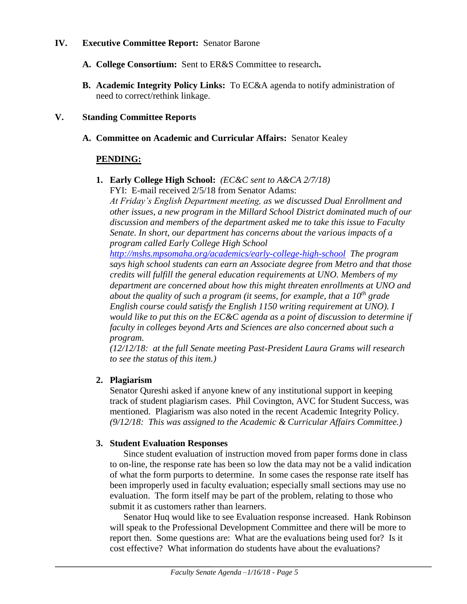#### **IV. Executive Committee Report:** Senator Barone

- **A. College Consortium:** Sent to ER&S Committee to research**.**
- **B. Academic Integrity Policy Links:** To EC&A agenda to notify administration of need to correct/rethink linkage.

#### **V. Standing Committee Reports**

**A. Committee on Academic and Curricular Affairs:** Senator Kealey

#### **PENDING:**

**1. Early College High School:** *(EC&C sent to A&CA 2/7/18)* FYI: E-mail received 2/5/18 from Senator Adams:

*At Friday's English Department meeting, as we discussed Dual Enrollment and other issues, a new program in the Millard School District dominated much of our discussion and members of the department asked me to take this issue to Faculty Senate. In short, our department has concerns about the various impacts of a program called Early College High School* 

*<http://mshs.mpsomaha.org/academics/early-college-high-school> The program says high school students can earn an Associate degree from Metro and that those credits will fulfill the general education requirements at UNO. Members of my department are concerned about how this might threaten enrollments at UNO and about the quality of such a program (it seems, for example, that a 10th grade English course could satisfy the English 1150 writing requirement at UNO). I would like to put this on the EC&C agenda as a point of discussion to determine if faculty in colleges beyond Arts and Sciences are also concerned about such a program.*

*(12/12/18: at the full Senate meeting Past-President Laura Grams will research to see the status of this item.)*

#### **2. Plagiarism**

Senator Qureshi asked if anyone knew of any institutional support in keeping track of student plagiarism cases. Phil Covington, AVC for Student Success, was mentioned. Plagiarism was also noted in the recent Academic Integrity Policy. *(9/12/18: This was assigned to the Academic & Curricular Affairs Committee.)* 

#### **3. Student Evaluation Responses**

Since student evaluation of instruction moved from paper forms done in class to on-line, the response rate has been so low the data may not be a valid indication of what the form purports to determine. In some cases the response rate itself has been improperly used in faculty evaluation; especially small sections may use no evaluation. The form itself may be part of the problem, relating to those who submit it as customers rather than learners.

Senator Huq would like to see Evaluation response increased. Hank Robinson will speak to the Professional Development Committee and there will be more to report then. Some questions are: What are the evaluations being used for? Is it cost effective? What information do students have about the evaluations?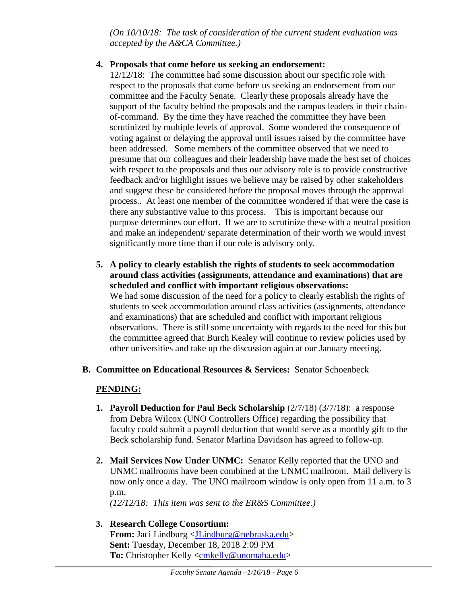*(On 10/10/18: The task of consideration of the current student evaluation was accepted by the A&CA Committee.)*

#### **4. Proposals that come before us seeking an endorsement:**

12/12/18: The committee had some discussion about our specific role with respect to the proposals that come before us seeking an endorsement from our committee and the Faculty Senate. Clearly these proposals already have the support of the faculty behind the proposals and the campus leaders in their chainof-command. By the time they have reached the committee they have been scrutinized by multiple levels of approval. Some wondered the consequence of voting against or delaying the approval until issues raised by the committee have been addressed. Some members of the committee observed that we need to presume that our colleagues and their leadership have made the best set of choices with respect to the proposals and thus our advisory role is to provide constructive feedback and/or highlight issues we believe may be raised by other stakeholders and suggest these be considered before the proposal moves through the approval process.. At least one member of the committee wondered if that were the case is there any substantive value to this process. This is important because our purpose determines our effort. If we are to scrutinize these with a neutral position and make an independent/ separate determination of their worth we would invest significantly more time than if our role is advisory only.

- **5. A policy to clearly establish the rights of students to seek accommodation around class activities (assignments, attendance and examinations) that are scheduled and conflict with important religious observations:** We had some discussion of the need for a policy to clearly establish the rights of students to seek accommodation around class activities (assignments, attendance and examinations) that are scheduled and conflict with important religious observations. There is still some uncertainty with regards to the need for this but the committee agreed that Burch Kealey will continue to review policies used by other universities and take up the discussion again at our January meeting.
- **B. Committee on Educational Resources & Services:** Senator Schoenbeck

# **PENDING:**

- **1. Payroll Deduction for Paul Beck Scholarship**  $(2/7/18)$   $(3/7/18)$ : a response from Debra Wilcox (UNO Controllers Office) regarding the possibility that faculty could submit a payroll deduction that would serve as a monthly gift to the Beck scholarship fund. Senator Marlina Davidson has agreed to follow-up.
- **2. Mail Services Now Under UNMC:** Senator Kelly reported that the UNO and UNMC mailrooms have been combined at the UNMC mailroom. Mail delivery is now only once a day. The UNO mailroom window is only open from 11 a.m. to 3 p.m.

*(12/12/18: This item was sent to the ER&S Committee.)*

# **3. Research College Consortium:**

**From:** Jaci Lindburg [<JLindburg@nebraska.edu>](mailto:JLindburg@nebraska.edu) **Sent:** Tuesday, December 18, 2018 2:09 PM **To:** Christopher Kelly [<cmkelly@unomaha.edu>](mailto:cmkelly@unomaha.edu)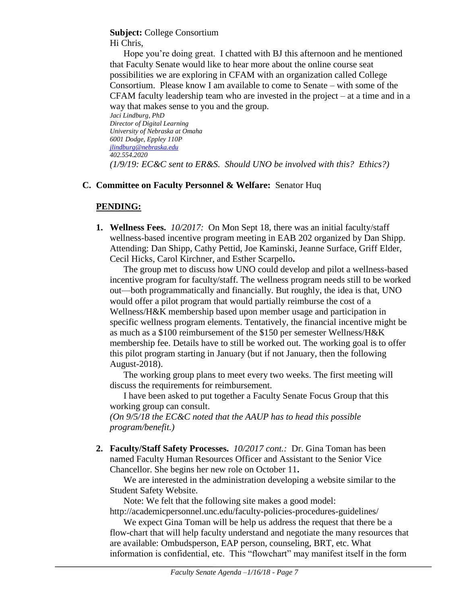#### **Subject:** College Consortium Hi Chris,

Hope you're doing great. I chatted with BJ this afternoon and he mentioned that Faculty Senate would like to hear more about the online course seat possibilities we are exploring in CFAM with an organization called College Consortium. Please know I am available to come to Senate – with some of the CFAM faculty leadership team who are invested in the project – at a time and in a way that makes sense to you and the group.

*Jaci Lindburg, PhD Director of Digital Learning University of Nebraska at Omaha 6001 Dodge, Eppley 110P [jlindburg@nebraska.edu](mailto:jlindburg@nebraska.edu) 402.554.2020 (1/9/19: EC&C sent to ER&S. Should UNO be involved with this? Ethics?)*

#### **C. Committee on Faculty Personnel & Welfare:** Senator Huq

# **PENDING:**

**1. Wellness Fees.** *10/2017:*On Mon Sept 18, there was an initial faculty/staff wellness-based incentive program meeting in EAB 202 organized by Dan Shipp. Attending: Dan Shipp, Cathy Pettid, Joe Kaminski, Jeanne Surface, Griff Elder, Cecil Hicks, Carol Kirchner, and Esther Scarpello**.**

The group met to discuss how UNO could develop and pilot a wellness-based incentive program for faculty/staff. The wellness program needs still to be worked out—both programmatically and financially. But roughly, the idea is that, UNO would offer a pilot program that would partially reimburse the cost of a Wellness/H&K membership based upon member usage and participation in specific wellness program elements. Tentatively, the financial incentive might be as much as a \$100 reimbursement of the \$150 per semester Wellness/H&K membership fee. Details have to still be worked out. The working goal is to offer this pilot program starting in January (but if not January, then the following August-2018).

The working group plans to meet every two weeks. The first meeting will discuss the requirements for reimbursement.

I have been asked to put together a Faculty Senate Focus Group that this working group can consult.

*(On 9/5/18 the EC&C noted that the AAUP has to head this possible program/benefit.)*

**2. Faculty/Staff Safety Processes.** *10/2017 cont.:* Dr. Gina Toman has been named Faculty Human Resources Officer and Assistant to the Senior Vice Chancellor. She begins her new role on October 11**.**

We are interested in the administration developing a website similar to the Student Safety Website.

Note: We felt that the following site makes a good model:

http://academicpersonnel.unc.edu/faculty-policies-procedures-guidelines/

We expect Gina Toman will be help us address the request that there be a flow-chart that will help faculty understand and negotiate the many resources that are available: Ombudsperson, EAP person, counseling, BRT, etc. What information is confidential, etc. This "flowchart" may manifest itself in the form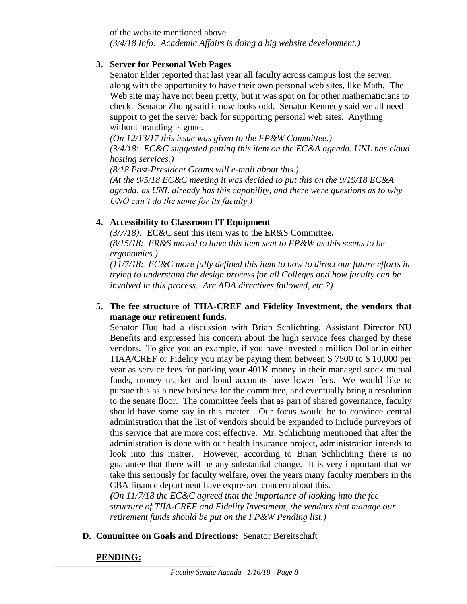of the website mentioned above. *(3/4/18 Info: Academic Affairs is doing a big website development.)*

#### **3. Server for Personal Web Pages**

Senator Elder reported that last year all faculty across campus lost the server, along with the opportunity to have their own personal web sites, like Math. The Web site may have not been pretty, but it was spot on for other mathematicians to check. Senator Zhong said it now looks odd. Senator Kennedy said we all need support to get the server back for supporting personal web sites. Anything without branding is gone.

*(On 12/13/17 this issue was given to the FP&W Committee.) (3/4/18: EC&C suggested putting this item on the EC&A agenda. UNL has cloud hosting services.)*

*(8/18 Past-President Grams will e-mail about this.) (At the 9/5/18 EC&C meeting it was decided to put this on the 9/19/18 EC&A agenda, as UNL already has this capability, and there were questions as to why UNO can't do the same for its faculty.)*

# **4. Accessibility to Classroom IT Equipment**

*(3/7/18):* EC&C sent this item was to the ER&S Committee**.**  *(8/15/18: ER&S moved to have this item sent to FP&W as this seems to be ergonomics.)* 

*(11/7/18: EC&C more fully defined this item to how to direct our future efforts in trying to understand the design process for all Colleges and how faculty can be involved in this process. Are ADA directives followed, etc.?)* 

#### **5. The fee structure of TIIA-CREF and Fidelity Investment, the vendors that manage our retirement funds.**

Senator Huq had a discussion with Brian Schlichting, Assistant Director NU Benefits and expressed his concern about the high service fees charged by these vendors. To give you an example, if you have invested a million Dollar in either TIAA/CREF or Fidelity you may be paying them between \$ 7500 to \$ 10,000 per year as service fees for parking your 401K money in their managed stock mutual funds, money market and bond accounts have lower fees. We would like to pursue this as a new business for the committee, and eventually bring a resolution to the senate floor. The committee feels that as part of shared governance, faculty should have some say in this matter. Our focus would be to convince central administration that the list of vendors should be expanded to include purveyors of this service that are more cost effective. Mr. Schlichting mentioned that after the administration is done with our health insurance project, administration intends to look into this matter. However, according to Brian Schlichting there is no guarantee that there will be any substantial change. It is very important that we take this seriously for faculty welfare, over the years many faculty members in the CBA finance department have expressed concern about this.

*(On 11/7/18 the EC&C agreed that the importance of looking into the fee structure of TIIA-CREF and Fidelity Investment, the vendors that manage our retirement funds should be put on the FP&W Pending list.)*

# **D. Committee on Goals and Directions:** Senator Bereitschaft

# **PENDING:**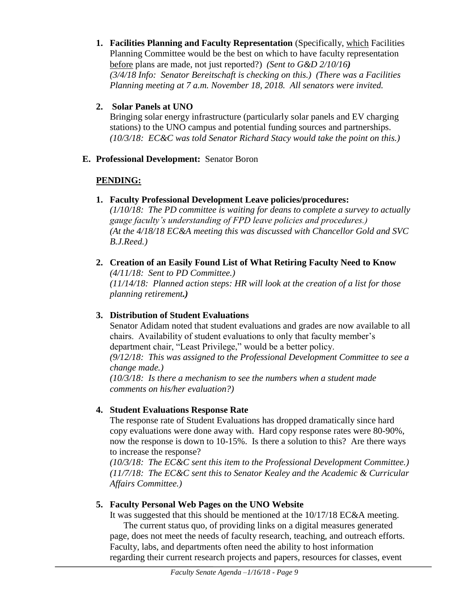- **1. Facilities Planning and Faculty Representation** (Specifically, which Facilities Planning Committee would be the best on which to have faculty representation before plans are made, not just reported?) *(Sent to G&D 2/10/16) (3/4/18 Info: Senator Bereitschaft is checking on this.) (There was a Facilities Planning meeting at 7 a.m. November 18, 2018. All senators were invited.*
- **2. Solar Panels at UNO**

Bringing solar energy infrastructure (particularly solar panels and EV charging stations) to the UNO campus and potential funding sources and partnerships. *(10/3/18: EC&C was told Senator Richard Stacy would take the point on this.)*

**E. Professional Development:** Senator Boron

# **PENDING:**

**1. Faculty Professional Development Leave policies/procedures:** 

*(1/10/18: The PD committee is waiting for deans to complete a survey to actually gauge faculty's understanding of FPD leave policies and procedures.) (At the 4/18/18 EC&A meeting this was discussed with Chancellor Gold and SVC B.J.Reed.)*

**2. Creation of an Easily Found List of What Retiring Faculty Need to Know** *(4/11/18: Sent to PD Committee.) (11/14/18: Planned action steps: HR will look at the creation of a list for those planning retirement.)*

# **3. Distribution of Student Evaluations**

Senator Adidam noted that student evaluations and grades are now available to all chairs. Availability of student evaluations to only that faculty member's department chair, "Least Privilege," would be a better policy.

*(9/12/18: This was assigned to the Professional Development Committee to see a change made.)*

*(10/3/18: Is there a mechanism to see the numbers when a student made comments on his/her evaluation?)*

# **4. Student Evaluations Response Rate**

The response rate of Student Evaluations has dropped dramatically since hard copy evaluations were done away with. Hard copy response rates were 80-90%, now the response is down to 10-15%. Is there a solution to this? Are there ways to increase the response?

*(10/3/18: The EC&C sent this item to the Professional Development Committee.) (11/7/18: The EC&C sent this to Senator Kealey and the Academic & Curricular Affairs Committee.)*

# **5. Faculty Personal Web Pages on the UNO Website**

It was suggested that this should be mentioned at the 10/17/18 EC&A meeting.

The current status quo, of providing links on a digital measures generated page, does not meet the needs of faculty research, teaching, and outreach efforts. Faculty, labs, and departments often need the ability to host information regarding their current research projects and papers, resources for classes, event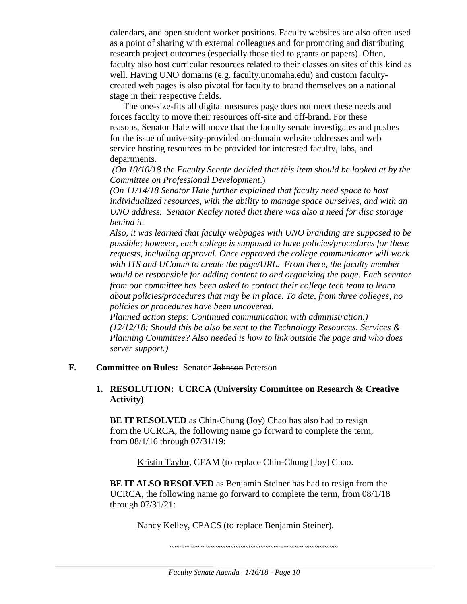calendars, and open student worker positions. Faculty websites are also often used as a point of sharing with external colleagues and for promoting and distributing research project outcomes (especially those tied to grants or papers). Often, faculty also host curricular resources related to their classes on sites of this kind as well. Having UNO domains (e.g. faculty.unomaha.edu) and custom facultycreated web pages is also pivotal for faculty to brand themselves on a national stage in their respective fields.

The one-size-fits all digital measures page does not meet these needs and forces faculty to move their resources off-site and off-brand. For these reasons, Senator Hale will move that the faculty senate investigates and pushes for the issue of university-provided on-domain website addresses and web service hosting resources to be provided for interested faculty, labs, and departments.

*(On 10/10/18 the Faculty Senate decided that this item should be looked at by the Committee on Professional Development*.)

*(On 11/14/18 Senator Hale further explained that faculty need space to host individualized resources, with the ability to manage space ourselves, and with an UNO address. Senator Kealey noted that there was also a need for disc storage behind it.*

*Also, it was learned that faculty webpages with UNO branding are supposed to be possible; however, each college is supposed to have policies/procedures for these requests, including approval. Once approved the college communicator will work with ITS and UComm to create the page/URL. From there, the faculty member would be responsible for adding content to and organizing the page. Each senator from our committee has been asked to contact their college tech team to learn about policies/procedures that may be in place. To date, from three colleges, no policies or procedures have been uncovered.* 

*Planned action steps: Continued communication with administration.) (12/12/18: Should this be also be sent to the Technology Resources, Services & Planning Committee? Also needed is how to link outside the page and who does server support.)*

#### **F. Committee on Rules:** Senator Johnson Peterson

#### **1. RESOLUTION: UCRCA (University Committee on Research & Creative Activity)**

**BE IT RESOLVED** as Chin-Chung (Joy) Chao has also had to resign from the UCRCA, the following name go forward to complete the term, from 08/1/16 through 07/31/19:

Kristin Taylor, CFAM (to replace Chin-Chung [Joy] Chao.

**BE IT ALSO RESOLVED** as Benjamin Steiner has had to resign from the UCRCA, the following name go forward to complete the term, from 08/1/18 through 07/31/21:

Nancy Kelley, CPACS (to replace Benjamin Steiner).

~~~~~~~~~~~~~~~~~~~~~~~~~~~~~~~~~~